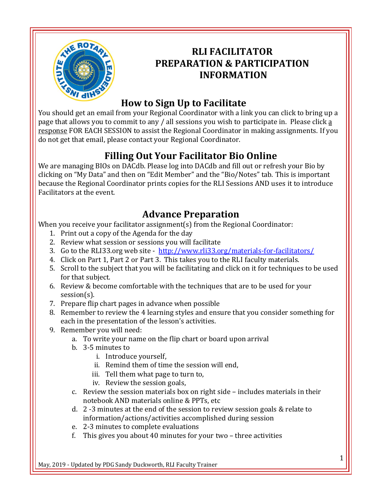

## **RLI FACILITATOR PREPARATION & PARTICIPATION INFORMATION**

# **How to Sign Up to Facilitate**

You should get an email from your Regional Coordinator with a link you can click to bring up a page that allows you to commit to any / all sessions you wish to participate in. Please click a response FOR EACH SESSION to assist the Regional Coordinator in making assignments. If you do not get that email, please contact your Regional Coordinator.

## **Filling Out Your Facilitator Bio Online**

We are managing BIOs on DACdb. Please log into DACdb and fill out or refresh your Bio by clicking on "My Data" and then on "Edit Member" and the "Bio/Notes" tab. This is important because the Regional Coordinator prints copies for the RLI Sessions AND uses it to introduce Facilitators at the event.

## **Advance Preparation**

When you receive your facilitator assignment(s) from the Regional Coordinator:

- 1. Print out a copy of the Agenda for the day
- 2. Review what session or sessions you will facilitate
- 3. Go to the RLI33.org web site <http://www.rli33.org/materials-for-facilitators/>
- 4. Click on Part 1, Part 2 or Part 3. This takes you to the RLI faculty materials.
- 5. Scroll to the subject that you will be facilitating and click on it for techniques to be used for that subject.
- 6. Review & become comfortable with the techniques that are to be used for your session(s).
- 7. Prepare flip chart pages in advance when possible
- 8. Remember to review the 4 learning styles and ensure that you consider something for each in the presentation of the lesson's activities.
- 9. Remember you will need:
	- a. To write your name on the flip chart or board upon arrival
	- b. 3-5 minutes to
		- i. Introduce yourself,
		- ii. Remind them of time the session will end,
		- iii. Tell them what page to turn to,
		- iv. Review the session goals,
	- c. Review the session materials box on right side includes materials in their notebook AND materials online & PPTs, etc
	- d. 2 -3 minutes at the end of the session to review session goals & relate to information/actions/activities accomplished during session
	- e. 2-3 minutes to complete evaluations
	- f. This gives you about 40 minutes for your two three activities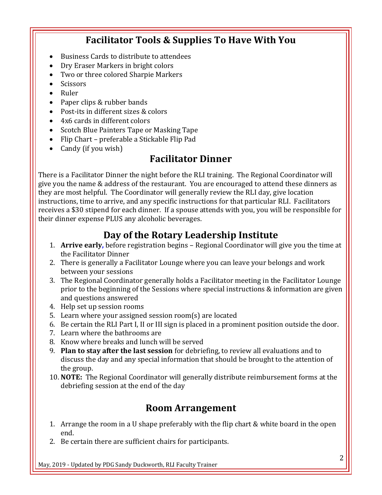#### **Facilitator Tools & Supplies To Have With You**

- Business Cards to distribute to attendees
- Dry Eraser Markers in bright colors
- Two or three colored Sharpie Markers
- **Scissors**
- Ruler
- Paper clips & rubber bands
- Post-its in different sizes & colors
- 4x6 cards in different colors
- Scotch Blue Painters Tape or Masking Tape
- Flip Chart preferable a Stickable Flip Pad
- Candy (if you wish)

#### **Facilitator Dinner**

There is a Facilitator Dinner the night before the RLI training. The Regional Coordinator will give you the name & address of the restaurant. You are encouraged to attend these dinners as they are most helpful. The Coordinator will generally review the RLI day, give location instructions, time to arrive, and any specific instructions for that particular RLI. Facilitators receives a \$30 stipend for each dinner. If a spouse attends with you, you will be responsible for their dinner expense PLUS any alcoholic beverages.

#### **Day of the Rotary Leadership Institute**

- 1. **Arrive early,** before registration begins Regional Coordinator will give you the time at the Facilitator Dinner
- 2. There is generally a Facilitator Lounge where you can leave your belongs and work between your sessions
- 3. The Regional Coordinator generally holds a Facilitator meeting in the Facilitator Lounge prior to the beginning of the Sessions where special instructions & information are given and questions answered
- 4. Help set up session rooms
- 5. Learn where your assigned session room(s) are located
- 6. Be certain the RLI Part I, II or III sign is placed in a prominent position outside the door.
- 7. Learn where the bathrooms are
- 8. Know where breaks and lunch will be served
- 9. **Plan to stay after the last session** for debriefing, to review all evaluations and to discuss the day and any special information that should be brought to the attention of the group.
- 10. **NOTE:** The Regional Coordinator will generally distribute reimbursement forms at the debriefing session at the end of the day

#### **Room Arrangement**

- 1. Arrange the room in a U shape preferably with the flip chart & white board in the open end.
- 2. Be certain there are sufficient chairs for participants.

May, 2019 - Updated by PDG Sandy Duckworth, RLI Faculty Trainer